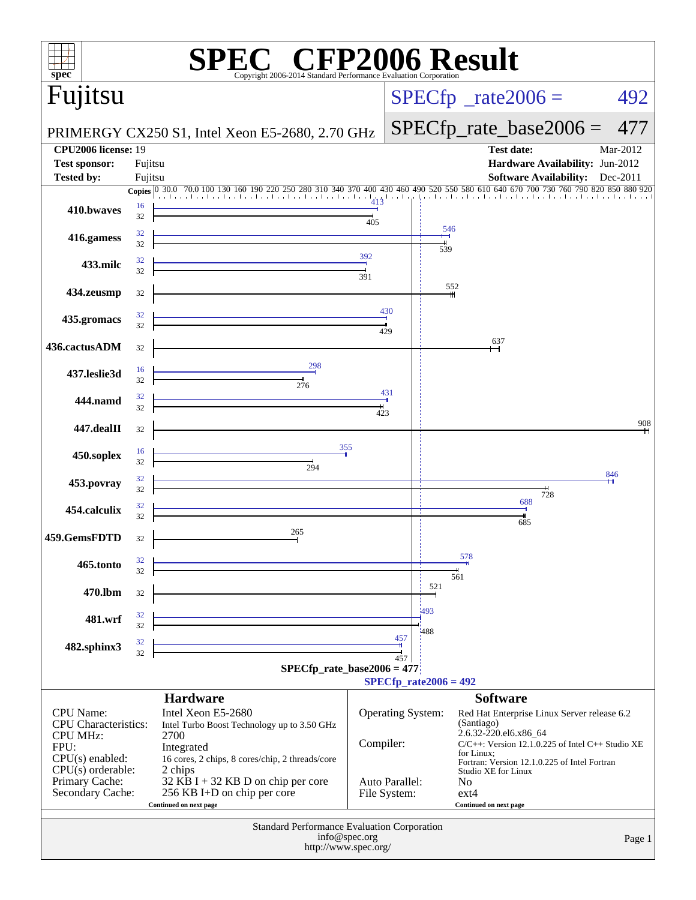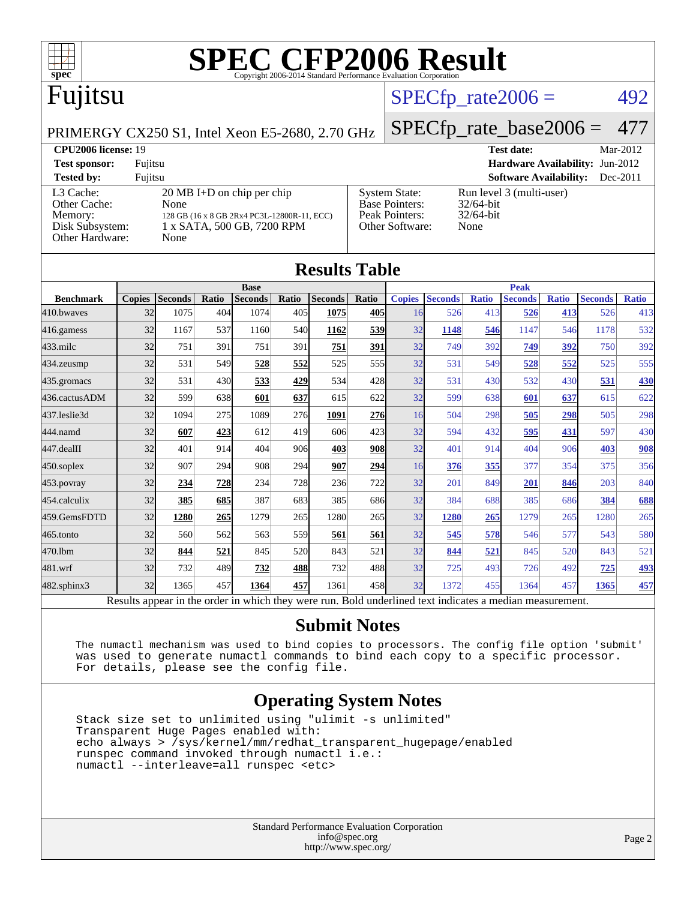

# **[SPEC CFP2006 Result](http://www.spec.org/auto/cpu2006/Docs/result-fields.html#SPECCFP2006Result)**

## Fujitsu

#### $SPECTp_rate2006 = 492$

[Base Pointers:](http://www.spec.org/auto/cpu2006/Docs/result-fields.html#BasePointers) 32/64-bit<br>Peak Pointers: 32/64-bit

[Other Software:](http://www.spec.org/auto/cpu2006/Docs/result-fields.html#OtherSoftware) None

[Peak Pointers:](http://www.spec.org/auto/cpu2006/Docs/result-fields.html#PeakPointers)

PRIMERGY CX250 S1, Intel Xeon E5-2680, 2.70 GHz

[SPECfp\\_rate\\_base2006 =](http://www.spec.org/auto/cpu2006/Docs/result-fields.html#SPECfpratebase2006) 477

**[CPU2006 license:](http://www.spec.org/auto/cpu2006/Docs/result-fields.html#CPU2006license)** 19 **[Test date:](http://www.spec.org/auto/cpu2006/Docs/result-fields.html#Testdate)** Mar-2012 **[Test sponsor:](http://www.spec.org/auto/cpu2006/Docs/result-fields.html#Testsponsor)** Fujitsu **[Hardware Availability:](http://www.spec.org/auto/cpu2006/Docs/result-fields.html#HardwareAvailability)** Jun-2012 **[Tested by:](http://www.spec.org/auto/cpu2006/Docs/result-fields.html#Testedby)** Fujitsu **[Software Availability:](http://www.spec.org/auto/cpu2006/Docs/result-fields.html#SoftwareAvailability)** Dec-2011 [System State:](http://www.spec.org/auto/cpu2006/Docs/result-fields.html#SystemState) Run level 3 (multi-user)<br>Base Pointers: 32/64-bit

| L3 Cache:<br>Other Cache:          | $20 \text{ MB I+D}$ on chip per chip<br>None |
|------------------------------------|----------------------------------------------|
| Memory:                            | 128 GB (16 x 8 GB 2Rx4 PC3L-12800R-11, ECC)  |
| Disk Subsystem:<br>Other Hardware: | 1 x SATA, 500 GB, 7200 RPM<br>None           |
|                                    |                                              |

| <b>Results Table</b> |                |                                                                                                    |                |                                                                                  |                |                                                                                                       |               |                                                                                                       |                                  |                |                                                                                  |                |                                                                                                              |
|----------------------|----------------|----------------------------------------------------------------------------------------------------|----------------|----------------------------------------------------------------------------------|----------------|-------------------------------------------------------------------------------------------------------|---------------|-------------------------------------------------------------------------------------------------------|----------------------------------|----------------|----------------------------------------------------------------------------------|----------------|--------------------------------------------------------------------------------------------------------------|
|                      |                |                                                                                                    | <b>Base</b>    |                                                                                  |                |                                                                                                       |               | <b>Peak</b>                                                                                           |                                  |                |                                                                                  |                |                                                                                                              |
| <b>Copies</b>        | <b>Seconds</b> | Ratio                                                                                              | <b>Seconds</b> | Ratio                                                                            | <b>Seconds</b> | Ratio                                                                                                 | <b>Copies</b> |                                                                                                       | <b>Ratio</b>                     | <b>Seconds</b> | <b>Ratio</b>                                                                     | <b>Seconds</b> | <b>Ratio</b>                                                                                                 |
|                      | 1075           |                                                                                                    | 1074           |                                                                                  | 1075           | 405                                                                                                   |               | 526                                                                                                   |                                  | 526            |                                                                                  | 526            | 413                                                                                                          |
|                      | 1167           | 537                                                                                                | 1160           |                                                                                  | 1162           |                                                                                                       | 32            | 1148                                                                                                  |                                  | 1147           |                                                                                  | 1178           | 532                                                                                                          |
|                      | 751            | 391                                                                                                | 751            | 391                                                                              | 751            | 391                                                                                                   | 32            | 749                                                                                                   | 392                              | 749            |                                                                                  | 750            | 392                                                                                                          |
|                      | 531            |                                                                                                    | 528            |                                                                                  | 525            |                                                                                                       | 32            | 531                                                                                                   |                                  | 528            |                                                                                  | 525            | 555                                                                                                          |
|                      | 531            |                                                                                                    | 533            |                                                                                  | 534            |                                                                                                       | 32            | 531                                                                                                   | 430                              | 532            |                                                                                  | 531            | <b>430</b>                                                                                                   |
|                      | 599            |                                                                                                    | 601            |                                                                                  | 615            |                                                                                                       | 32            | 599                                                                                                   |                                  | 601            |                                                                                  | 615            | 622                                                                                                          |
|                      | 1094           |                                                                                                    | 1089           |                                                                                  | 1091           |                                                                                                       |               | 504                                                                                                   |                                  | 505            |                                                                                  | 505            | 298                                                                                                          |
|                      | 607            |                                                                                                    | 612            |                                                                                  | 606            |                                                                                                       | 32            | 594                                                                                                   | 432                              | 595            | 431                                                                              | 597            | 430                                                                                                          |
|                      | 401            |                                                                                                    | 404            |                                                                                  | 403            |                                                                                                       | 32            | 401                                                                                                   |                                  | 404            |                                                                                  | 403            | 908                                                                                                          |
|                      | 907            |                                                                                                    | 908            | 294                                                                              | 907            |                                                                                                       |               | 376                                                                                                   |                                  | 377            |                                                                                  | 375            | 356                                                                                                          |
|                      | 234            |                                                                                                    | 234            |                                                                                  | 236            |                                                                                                       | 32            | 201                                                                                                   |                                  | 201            |                                                                                  | 203            | 840                                                                                                          |
|                      | 385            |                                                                                                    | 387            |                                                                                  | 385            |                                                                                                       | 32            | 384                                                                                                   | 688                              | 385            |                                                                                  | 384            | 688                                                                                                          |
|                      | 1280           |                                                                                                    | 1279           |                                                                                  | 1280           |                                                                                                       | 32            | 1280                                                                                                  |                                  | 1279           |                                                                                  | 1280           | 265                                                                                                          |
|                      | 560            | 562                                                                                                | 563            |                                                                                  | 561            | 561                                                                                                   | 32            | 545                                                                                                   |                                  | 546            |                                                                                  | 543            | <b>580</b>                                                                                                   |
|                      | 844            | 521                                                                                                | 845            |                                                                                  | 843            | 521                                                                                                   | 32            | 844                                                                                                   | 521                              | 845            |                                                                                  | 843            | 521                                                                                                          |
|                      | 732            |                                                                                                    | 732            |                                                                                  | 732            |                                                                                                       | 32            | 725                                                                                                   |                                  | 726            |                                                                                  | <u>725</u>     | <u>493</u>                                                                                                   |
|                      | 1365           | 457                                                                                                | 1364           |                                                                                  | 1361           |                                                                                                       | 32            | 1372                                                                                                  |                                  | 1364           |                                                                                  | 1365           | 457                                                                                                          |
|                      |                | 32<br>32<br>32<br>32<br>32<br>32<br>32<br>32<br>32<br>32<br>32<br>32<br>32<br>32<br>32<br>32<br>32 |                | 404<br>549<br>430<br>638<br>275<br>423<br>914<br>294<br>728<br>685<br>265<br>489 |                | 405<br>540<br>552<br>429<br>637<br>276<br>419<br>906<br>728<br>683<br>265<br>559<br>520<br>488<br>457 |               | 539<br>555<br>428<br>622<br><b>276</b><br>423<br><b>908</b><br>294<br>722<br>686<br>265<br>488<br>458 | <b>Seconds</b><br>16<br>16<br>16 |                | 413<br>546<br>549<br>638<br>298<br>914<br>355<br>849<br>265<br>578<br>493<br>455 |                | 413<br>546<br>392<br>552<br>430<br>637<br>298<br>906<br>354<br>846<br>686<br>265<br>577<br>520<br>492<br>457 |

Results appear in the [order in which they were run.](http://www.spec.org/auto/cpu2006/Docs/result-fields.html#RunOrder) Bold underlined text [indicates a median measurement.](http://www.spec.org/auto/cpu2006/Docs/result-fields.html#Median)

#### **[Submit Notes](http://www.spec.org/auto/cpu2006/Docs/result-fields.html#SubmitNotes)**

 The numactl mechanism was used to bind copies to processors. The config file option 'submit' was used to generate numactl commands to bind each copy to a specific processor. For details, please see the config file.

#### **[Operating System Notes](http://www.spec.org/auto/cpu2006/Docs/result-fields.html#OperatingSystemNotes)**

 Stack size set to unlimited using "ulimit -s unlimited" Transparent Huge Pages enabled with: echo always > /sys/kernel/mm/redhat\_transparent\_hugepage/enabled runspec command invoked through numactl i.e.: numactl --interleave=all runspec <etc>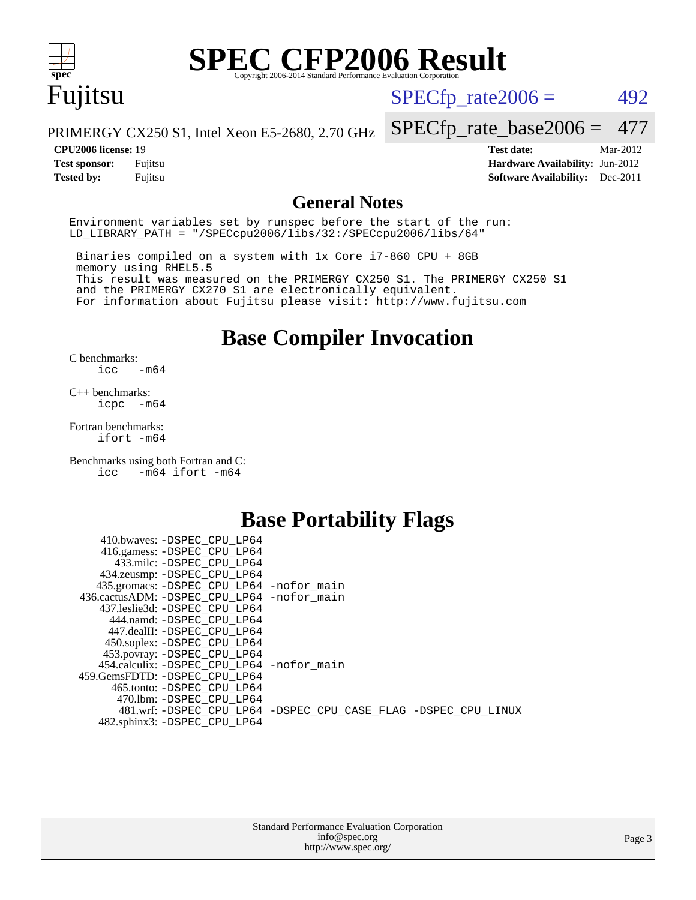

## Fujitsu

 $SPECTp_rate2006 = 492$ 

PRIMERGY CX250 S1, Intel Xeon E5-2680, 2.70 GHz

[SPECfp\\_rate\\_base2006 =](http://www.spec.org/auto/cpu2006/Docs/result-fields.html#SPECfpratebase2006) 477

**[CPU2006 license:](http://www.spec.org/auto/cpu2006/Docs/result-fields.html#CPU2006license)** 19 **[Test date:](http://www.spec.org/auto/cpu2006/Docs/result-fields.html#Testdate)** Mar-2012 **[Test sponsor:](http://www.spec.org/auto/cpu2006/Docs/result-fields.html#Testsponsor)** Fujitsu **[Hardware Availability:](http://www.spec.org/auto/cpu2006/Docs/result-fields.html#HardwareAvailability)** Jun-2012 **[Tested by:](http://www.spec.org/auto/cpu2006/Docs/result-fields.html#Testedby)** Fujitsu **[Software Availability:](http://www.spec.org/auto/cpu2006/Docs/result-fields.html#SoftwareAvailability)** Dec-2011

#### **[General Notes](http://www.spec.org/auto/cpu2006/Docs/result-fields.html#GeneralNotes)**

Environment variables set by runspec before the start of the run: LD\_LIBRARY\_PATH = "/SPECcpu2006/libs/32:/SPECcpu2006/libs/64"

 Binaries compiled on a system with 1x Core i7-860 CPU + 8GB memory using RHEL5.5 This result was measured on the PRIMERGY CX250 S1. The PRIMERGY CX250 S1 and the PRIMERGY CX270 S1 are electronically equivalent. For information about Fujitsu please visit: <http://www.fujitsu.com>

**[Base Compiler Invocation](http://www.spec.org/auto/cpu2006/Docs/result-fields.html#BaseCompilerInvocation)**

 $C$  benchmarks:<br>icc  $-m64$ 

[C++ benchmarks:](http://www.spec.org/auto/cpu2006/Docs/result-fields.html#CXXbenchmarks) [icpc -m64](http://www.spec.org/cpu2006/results/res2012q3/cpu2006-20120605-22761.flags.html#user_CXXbase_intel_icpc_64bit_bedb90c1146cab66620883ef4f41a67e)

[Fortran benchmarks](http://www.spec.org/auto/cpu2006/Docs/result-fields.html#Fortranbenchmarks): [ifort -m64](http://www.spec.org/cpu2006/results/res2012q3/cpu2006-20120605-22761.flags.html#user_FCbase_intel_ifort_64bit_ee9d0fb25645d0210d97eb0527dcc06e)

[Benchmarks using both Fortran and C](http://www.spec.org/auto/cpu2006/Docs/result-fields.html#BenchmarksusingbothFortranandC): [icc -m64](http://www.spec.org/cpu2006/results/res2012q3/cpu2006-20120605-22761.flags.html#user_CC_FCbase_intel_icc_64bit_0b7121f5ab7cfabee23d88897260401c) [ifort -m64](http://www.spec.org/cpu2006/results/res2012q3/cpu2006-20120605-22761.flags.html#user_CC_FCbase_intel_ifort_64bit_ee9d0fb25645d0210d97eb0527dcc06e)

#### **[Base Portability Flags](http://www.spec.org/auto/cpu2006/Docs/result-fields.html#BasePortabilityFlags)**

| 410.bwaves: -DSPEC CPU LP64                 |                                                                |
|---------------------------------------------|----------------------------------------------------------------|
| 416.gamess: -DSPEC_CPU_LP64                 |                                                                |
| 433.milc: -DSPEC CPU LP64                   |                                                                |
| 434.zeusmp: -DSPEC_CPU_LP64                 |                                                                |
| 435.gromacs: -DSPEC_CPU_LP64 -nofor_main    |                                                                |
| 436.cactusADM: -DSPEC CPU LP64 -nofor main  |                                                                |
| 437.leslie3d: -DSPEC CPU LP64               |                                                                |
| 444.namd: -DSPEC CPU LP64                   |                                                                |
| 447.dealII: -DSPEC CPU LP64                 |                                                                |
| 450.soplex: -DSPEC_CPU_LP64                 |                                                                |
| 453.povray: -DSPEC_CPU_LP64                 |                                                                |
| 454.calculix: - DSPEC CPU LP64 - nofor main |                                                                |
| 459. GemsFDTD: - DSPEC CPU LP64             |                                                                |
| 465.tonto: - DSPEC CPU LP64                 |                                                                |
| 470.1bm: - DSPEC CPU LP64                   |                                                                |
|                                             | 481.wrf: -DSPEC CPU_LP64 -DSPEC_CPU_CASE_FLAG -DSPEC_CPU_LINUX |
| 482.sphinx3: -DSPEC_CPU_LP64                |                                                                |
|                                             |                                                                |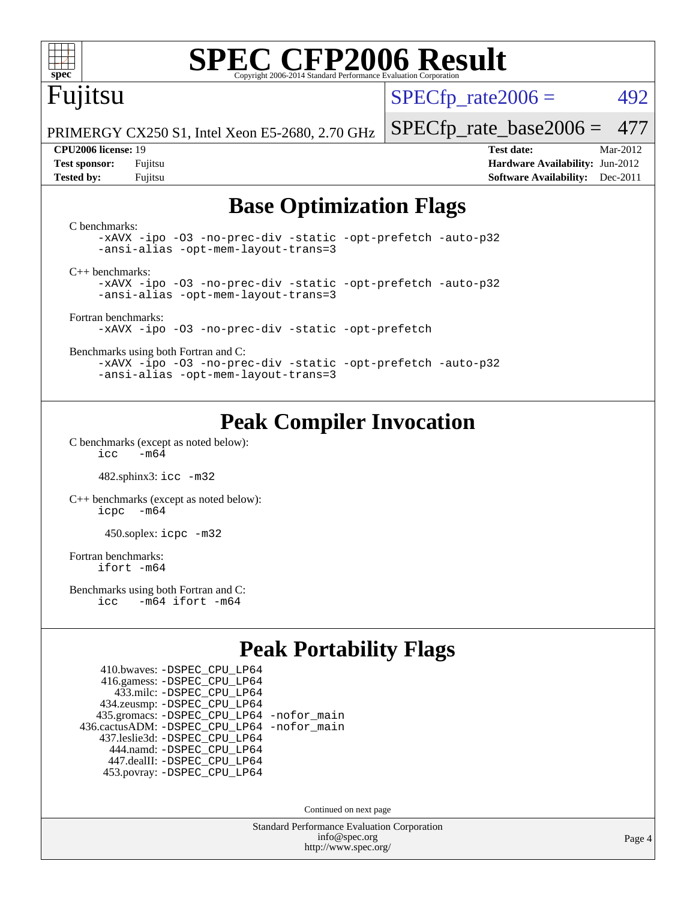

## Fujitsu

 $SPECTp\_rate2006 = 492$ 

PRIMERGY CX250 S1, Intel Xeon E5-2680, 2.70 GHz

[SPECfp\\_rate\\_base2006 =](http://www.spec.org/auto/cpu2006/Docs/result-fields.html#SPECfpratebase2006) 477

**[CPU2006 license:](http://www.spec.org/auto/cpu2006/Docs/result-fields.html#CPU2006license)** 19 **[Test date:](http://www.spec.org/auto/cpu2006/Docs/result-fields.html#Testdate)** Mar-2012 **[Test sponsor:](http://www.spec.org/auto/cpu2006/Docs/result-fields.html#Testsponsor)** Fujitsu **[Hardware Availability:](http://www.spec.org/auto/cpu2006/Docs/result-fields.html#HardwareAvailability)** Jun-2012 **[Tested by:](http://www.spec.org/auto/cpu2006/Docs/result-fields.html#Testedby)** Fujitsu **[Software Availability:](http://www.spec.org/auto/cpu2006/Docs/result-fields.html#SoftwareAvailability)** Dec-2011

#### **[Base Optimization Flags](http://www.spec.org/auto/cpu2006/Docs/result-fields.html#BaseOptimizationFlags)**

| C benchmarks:<br>-xAVX -ipo -03 -no-prec-div -static -opt-prefetch -auto-p32<br>-ansi-alias -opt-mem-layout-trans=3 |  |
|---------------------------------------------------------------------------------------------------------------------|--|
| $C_{++}$ benchmarks:                                                                                                |  |
| -xAVX -ipo -03 -no-prec-div -static -opt-prefetch -auto-p32                                                         |  |
| -ansi-alias -opt-mem-layout-trans=3                                                                                 |  |
|                                                                                                                     |  |
| Fortran benchmarks:                                                                                                 |  |
| -xAVX -ipo -03 -no-prec-div -static -opt-prefetch                                                                   |  |
| Benchmarks using both Fortran and C:                                                                                |  |
| -xAVX -ipo -03 -no-prec-div -static -opt-prefetch -auto-p32                                                         |  |
| -ansi-alias -opt-mem-layout-trans=3                                                                                 |  |

#### **[Peak Compiler Invocation](http://www.spec.org/auto/cpu2006/Docs/result-fields.html#PeakCompilerInvocation)**

[C benchmarks \(except as noted below\)](http://www.spec.org/auto/cpu2006/Docs/result-fields.html#Cbenchmarksexceptasnotedbelow):  $\text{icc}$   $-\text{m64}$ 

482.sphinx3: [icc -m32](http://www.spec.org/cpu2006/results/res2012q3/cpu2006-20120605-22761.flags.html#user_peakCCLD482_sphinx3_intel_icc_a6a621f8d50482236b970c6ac5f55f93)

[C++ benchmarks \(except as noted below\):](http://www.spec.org/auto/cpu2006/Docs/result-fields.html#CXXbenchmarksexceptasnotedbelow) [icpc -m64](http://www.spec.org/cpu2006/results/res2012q3/cpu2006-20120605-22761.flags.html#user_CXXpeak_intel_icpc_64bit_bedb90c1146cab66620883ef4f41a67e)

450.soplex: [icpc -m32](http://www.spec.org/cpu2006/results/res2012q3/cpu2006-20120605-22761.flags.html#user_peakCXXLD450_soplex_intel_icpc_4e5a5ef1a53fd332b3c49e69c3330699)

[Fortran benchmarks](http://www.spec.org/auto/cpu2006/Docs/result-fields.html#Fortranbenchmarks): [ifort -m64](http://www.spec.org/cpu2006/results/res2012q3/cpu2006-20120605-22761.flags.html#user_FCpeak_intel_ifort_64bit_ee9d0fb25645d0210d97eb0527dcc06e)

[Benchmarks using both Fortran and C](http://www.spec.org/auto/cpu2006/Docs/result-fields.html#BenchmarksusingbothFortranandC): [icc -m64](http://www.spec.org/cpu2006/results/res2012q3/cpu2006-20120605-22761.flags.html#user_CC_FCpeak_intel_icc_64bit_0b7121f5ab7cfabee23d88897260401c) [ifort -m64](http://www.spec.org/cpu2006/results/res2012q3/cpu2006-20120605-22761.flags.html#user_CC_FCpeak_intel_ifort_64bit_ee9d0fb25645d0210d97eb0527dcc06e)

#### **[Peak Portability Flags](http://www.spec.org/auto/cpu2006/Docs/result-fields.html#PeakPortabilityFlags)**

 410.bwaves: [-DSPEC\\_CPU\\_LP64](http://www.spec.org/cpu2006/results/res2012q3/cpu2006-20120605-22761.flags.html#suite_peakPORTABILITY410_bwaves_DSPEC_CPU_LP64) 416.gamess: [-DSPEC\\_CPU\\_LP64](http://www.spec.org/cpu2006/results/res2012q3/cpu2006-20120605-22761.flags.html#suite_peakPORTABILITY416_gamess_DSPEC_CPU_LP64) 433.milc: [-DSPEC\\_CPU\\_LP64](http://www.spec.org/cpu2006/results/res2012q3/cpu2006-20120605-22761.flags.html#suite_peakPORTABILITY433_milc_DSPEC_CPU_LP64) 434.zeusmp: [-DSPEC\\_CPU\\_LP64](http://www.spec.org/cpu2006/results/res2012q3/cpu2006-20120605-22761.flags.html#suite_peakPORTABILITY434_zeusmp_DSPEC_CPU_LP64) 435.gromacs: [-DSPEC\\_CPU\\_LP64](http://www.spec.org/cpu2006/results/res2012q3/cpu2006-20120605-22761.flags.html#suite_peakPORTABILITY435_gromacs_DSPEC_CPU_LP64) [-nofor\\_main](http://www.spec.org/cpu2006/results/res2012q3/cpu2006-20120605-22761.flags.html#user_peakLDPORTABILITY435_gromacs_f-nofor_main) 436.cactusADM: [-DSPEC\\_CPU\\_LP64](http://www.spec.org/cpu2006/results/res2012q3/cpu2006-20120605-22761.flags.html#suite_peakPORTABILITY436_cactusADM_DSPEC_CPU_LP64) [-nofor\\_main](http://www.spec.org/cpu2006/results/res2012q3/cpu2006-20120605-22761.flags.html#user_peakLDPORTABILITY436_cactusADM_f-nofor_main) 437.leslie3d: [-DSPEC\\_CPU\\_LP64](http://www.spec.org/cpu2006/results/res2012q3/cpu2006-20120605-22761.flags.html#suite_peakPORTABILITY437_leslie3d_DSPEC_CPU_LP64) 444.namd: [-DSPEC\\_CPU\\_LP64](http://www.spec.org/cpu2006/results/res2012q3/cpu2006-20120605-22761.flags.html#suite_peakPORTABILITY444_namd_DSPEC_CPU_LP64) 447.dealII: [-DSPEC\\_CPU\\_LP64](http://www.spec.org/cpu2006/results/res2012q3/cpu2006-20120605-22761.flags.html#suite_peakPORTABILITY447_dealII_DSPEC_CPU_LP64) 453.povray: [-DSPEC\\_CPU\\_LP64](http://www.spec.org/cpu2006/results/res2012q3/cpu2006-20120605-22761.flags.html#suite_peakPORTABILITY453_povray_DSPEC_CPU_LP64)

Continued on next page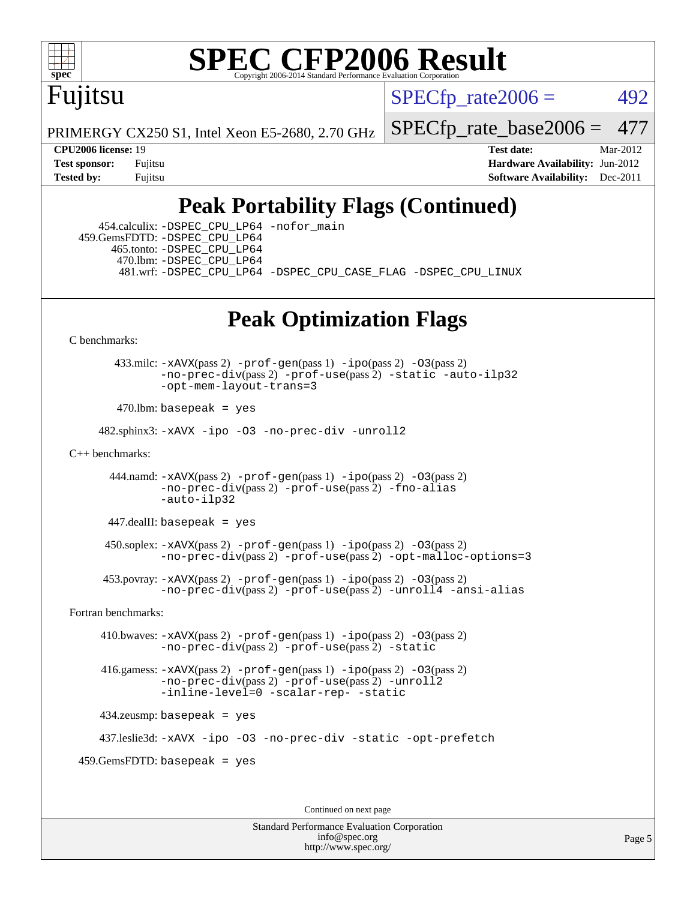

## Fujitsu

 $SPECTp\_rate2006 = 492$ 

PRIMERGY CX250 S1, Intel Xeon E5-2680, 2.70 GHz

[SPECfp\\_rate\\_base2006 =](http://www.spec.org/auto/cpu2006/Docs/result-fields.html#SPECfpratebase2006) 477

**[CPU2006 license:](http://www.spec.org/auto/cpu2006/Docs/result-fields.html#CPU2006license)** 19 **[Test date:](http://www.spec.org/auto/cpu2006/Docs/result-fields.html#Testdate)** Mar-2012 **[Test sponsor:](http://www.spec.org/auto/cpu2006/Docs/result-fields.html#Testsponsor)** Fujitsu **[Hardware Availability:](http://www.spec.org/auto/cpu2006/Docs/result-fields.html#HardwareAvailability)** Jun-2012 **[Tested by:](http://www.spec.org/auto/cpu2006/Docs/result-fields.html#Testedby)** Fujitsu **Fugital Example 2011 [Software Availability:](http://www.spec.org/auto/cpu2006/Docs/result-fields.html#SoftwareAvailability)** Dec-2011

### **[Peak Portability Flags \(Continued\)](http://www.spec.org/auto/cpu2006/Docs/result-fields.html#PeakPortabilityFlags)**

 454.calculix: [-DSPEC\\_CPU\\_LP64](http://www.spec.org/cpu2006/results/res2012q3/cpu2006-20120605-22761.flags.html#suite_peakPORTABILITY454_calculix_DSPEC_CPU_LP64) [-nofor\\_main](http://www.spec.org/cpu2006/results/res2012q3/cpu2006-20120605-22761.flags.html#user_peakLDPORTABILITY454_calculix_f-nofor_main) 459.GemsFDTD: [-DSPEC\\_CPU\\_LP64](http://www.spec.org/cpu2006/results/res2012q3/cpu2006-20120605-22761.flags.html#suite_peakPORTABILITY459_GemsFDTD_DSPEC_CPU_LP64) 465.tonto: [-DSPEC\\_CPU\\_LP64](http://www.spec.org/cpu2006/results/res2012q3/cpu2006-20120605-22761.flags.html#suite_peakPORTABILITY465_tonto_DSPEC_CPU_LP64) 470.lbm: [-DSPEC\\_CPU\\_LP64](http://www.spec.org/cpu2006/results/res2012q3/cpu2006-20120605-22761.flags.html#suite_peakPORTABILITY470_lbm_DSPEC_CPU_LP64) 481.wrf: [-DSPEC\\_CPU\\_LP64](http://www.spec.org/cpu2006/results/res2012q3/cpu2006-20120605-22761.flags.html#suite_peakPORTABILITY481_wrf_DSPEC_CPU_LP64) [-DSPEC\\_CPU\\_CASE\\_FLAG](http://www.spec.org/cpu2006/results/res2012q3/cpu2006-20120605-22761.flags.html#b481.wrf_peakCPORTABILITY_DSPEC_CPU_CASE_FLAG) [-DSPEC\\_CPU\\_LINUX](http://www.spec.org/cpu2006/results/res2012q3/cpu2006-20120605-22761.flags.html#b481.wrf_peakCPORTABILITY_DSPEC_CPU_LINUX)

### **[Peak Optimization Flags](http://www.spec.org/auto/cpu2006/Docs/result-fields.html#PeakOptimizationFlags)**

[C benchmarks](http://www.spec.org/auto/cpu2006/Docs/result-fields.html#Cbenchmarks):

 433.milc: [-xAVX](http://www.spec.org/cpu2006/results/res2012q3/cpu2006-20120605-22761.flags.html#user_peakPASS2_CFLAGSPASS2_LDFLAGS433_milc_f-xAVX)(pass 2) [-prof-gen](http://www.spec.org/cpu2006/results/res2012q3/cpu2006-20120605-22761.flags.html#user_peakPASS1_CFLAGSPASS1_LDFLAGS433_milc_prof_gen_e43856698f6ca7b7e442dfd80e94a8fc)(pass 1) [-ipo](http://www.spec.org/cpu2006/results/res2012q3/cpu2006-20120605-22761.flags.html#user_peakPASS2_CFLAGSPASS2_LDFLAGS433_milc_f-ipo)(pass 2) [-O3](http://www.spec.org/cpu2006/results/res2012q3/cpu2006-20120605-22761.flags.html#user_peakPASS2_CFLAGSPASS2_LDFLAGS433_milc_f-O3)(pass 2) [-no-prec-div](http://www.spec.org/cpu2006/results/res2012q3/cpu2006-20120605-22761.flags.html#user_peakPASS2_CFLAGSPASS2_LDFLAGS433_milc_f-no-prec-div)(pass 2) [-prof-use](http://www.spec.org/cpu2006/results/res2012q3/cpu2006-20120605-22761.flags.html#user_peakPASS2_CFLAGSPASS2_LDFLAGS433_milc_prof_use_bccf7792157ff70d64e32fe3e1250b55)(pass 2) [-static](http://www.spec.org/cpu2006/results/res2012q3/cpu2006-20120605-22761.flags.html#user_peakOPTIMIZE433_milc_f-static) [-auto-ilp32](http://www.spec.org/cpu2006/results/res2012q3/cpu2006-20120605-22761.flags.html#user_peakCOPTIMIZE433_milc_f-auto-ilp32) [-opt-mem-layout-trans=3](http://www.spec.org/cpu2006/results/res2012q3/cpu2006-20120605-22761.flags.html#user_peakCOPTIMIZE433_milc_f-opt-mem-layout-trans_a7b82ad4bd7abf52556d4961a2ae94d5)

 $470.$ lbm: basepeak = yes

482.sphinx3: [-xAVX](http://www.spec.org/cpu2006/results/res2012q3/cpu2006-20120605-22761.flags.html#user_peakOPTIMIZE482_sphinx3_f-xAVX) [-ipo](http://www.spec.org/cpu2006/results/res2012q3/cpu2006-20120605-22761.flags.html#user_peakOPTIMIZE482_sphinx3_f-ipo) [-O3](http://www.spec.org/cpu2006/results/res2012q3/cpu2006-20120605-22761.flags.html#user_peakOPTIMIZE482_sphinx3_f-O3) [-no-prec-div](http://www.spec.org/cpu2006/results/res2012q3/cpu2006-20120605-22761.flags.html#user_peakOPTIMIZE482_sphinx3_f-no-prec-div) [-unroll2](http://www.spec.org/cpu2006/results/res2012q3/cpu2006-20120605-22761.flags.html#user_peakCOPTIMIZE482_sphinx3_f-unroll_784dae83bebfb236979b41d2422d7ec2)

[C++ benchmarks:](http://www.spec.org/auto/cpu2006/Docs/result-fields.html#CXXbenchmarks)

444.namd:  $-xAVX(pass 2)$  $-xAVX(pass 2)$  [-prof-gen](http://www.spec.org/cpu2006/results/res2012q3/cpu2006-20120605-22761.flags.html#user_peakPASS1_CXXFLAGSPASS1_LDFLAGS444_namd_prof_gen_e43856698f6ca7b7e442dfd80e94a8fc)(pass 1) [-ipo](http://www.spec.org/cpu2006/results/res2012q3/cpu2006-20120605-22761.flags.html#user_peakPASS2_CXXFLAGSPASS2_LDFLAGS444_namd_f-ipo)(pass 2) [-O3](http://www.spec.org/cpu2006/results/res2012q3/cpu2006-20120605-22761.flags.html#user_peakPASS2_CXXFLAGSPASS2_LDFLAGS444_namd_f-O3)(pass 2) [-no-prec-div](http://www.spec.org/cpu2006/results/res2012q3/cpu2006-20120605-22761.flags.html#user_peakPASS2_CXXFLAGSPASS2_LDFLAGS444_namd_f-no-prec-div)(pass 2) [-prof-use](http://www.spec.org/cpu2006/results/res2012q3/cpu2006-20120605-22761.flags.html#user_peakPASS2_CXXFLAGSPASS2_LDFLAGS444_namd_prof_use_bccf7792157ff70d64e32fe3e1250b55)(pass 2) [-fno-alias](http://www.spec.org/cpu2006/results/res2012q3/cpu2006-20120605-22761.flags.html#user_peakCXXOPTIMIZE444_namd_f-no-alias_694e77f6c5a51e658e82ccff53a9e63a) [-auto-ilp32](http://www.spec.org/cpu2006/results/res2012q3/cpu2006-20120605-22761.flags.html#user_peakCXXOPTIMIZE444_namd_f-auto-ilp32)

 $447$ .dealII: basepeak = yes

 $450$ .soplex:  $-x$ AVX(pass 2)  $-p$ rof-gen(pass 1)  $-i$ po(pass 2)  $-03$ (pass 2) [-no-prec-div](http://www.spec.org/cpu2006/results/res2012q3/cpu2006-20120605-22761.flags.html#user_peakPASS2_CXXFLAGSPASS2_LDFLAGS450_soplex_f-no-prec-div)(pass 2) [-prof-use](http://www.spec.org/cpu2006/results/res2012q3/cpu2006-20120605-22761.flags.html#user_peakPASS2_CXXFLAGSPASS2_LDFLAGS450_soplex_prof_use_bccf7792157ff70d64e32fe3e1250b55)(pass 2) [-opt-malloc-options=3](http://www.spec.org/cpu2006/results/res2012q3/cpu2006-20120605-22761.flags.html#user_peakOPTIMIZE450_soplex_f-opt-malloc-options_13ab9b803cf986b4ee62f0a5998c2238)

 453.povray: [-xAVX](http://www.spec.org/cpu2006/results/res2012q3/cpu2006-20120605-22761.flags.html#user_peakPASS2_CXXFLAGSPASS2_LDFLAGS453_povray_f-xAVX)(pass 2) [-prof-gen](http://www.spec.org/cpu2006/results/res2012q3/cpu2006-20120605-22761.flags.html#user_peakPASS1_CXXFLAGSPASS1_LDFLAGS453_povray_prof_gen_e43856698f6ca7b7e442dfd80e94a8fc)(pass 1) [-ipo](http://www.spec.org/cpu2006/results/res2012q3/cpu2006-20120605-22761.flags.html#user_peakPASS2_CXXFLAGSPASS2_LDFLAGS453_povray_f-ipo)(pass 2) [-O3](http://www.spec.org/cpu2006/results/res2012q3/cpu2006-20120605-22761.flags.html#user_peakPASS2_CXXFLAGSPASS2_LDFLAGS453_povray_f-O3)(pass 2) [-no-prec-div](http://www.spec.org/cpu2006/results/res2012q3/cpu2006-20120605-22761.flags.html#user_peakPASS2_CXXFLAGSPASS2_LDFLAGS453_povray_f-no-prec-div)(pass 2) [-prof-use](http://www.spec.org/cpu2006/results/res2012q3/cpu2006-20120605-22761.flags.html#user_peakPASS2_CXXFLAGSPASS2_LDFLAGS453_povray_prof_use_bccf7792157ff70d64e32fe3e1250b55)(pass 2) [-unroll4](http://www.spec.org/cpu2006/results/res2012q3/cpu2006-20120605-22761.flags.html#user_peakCXXOPTIMIZE453_povray_f-unroll_4e5e4ed65b7fd20bdcd365bec371b81f) [-ansi-alias](http://www.spec.org/cpu2006/results/res2012q3/cpu2006-20120605-22761.flags.html#user_peakCXXOPTIMIZE453_povray_f-ansi-alias)

[Fortran benchmarks](http://www.spec.org/auto/cpu2006/Docs/result-fields.html#Fortranbenchmarks):

 410.bwaves: [-xAVX](http://www.spec.org/cpu2006/results/res2012q3/cpu2006-20120605-22761.flags.html#user_peakPASS2_FFLAGSPASS2_LDFLAGS410_bwaves_f-xAVX)(pass 2) [-prof-gen](http://www.spec.org/cpu2006/results/res2012q3/cpu2006-20120605-22761.flags.html#user_peakPASS1_FFLAGSPASS1_LDFLAGS410_bwaves_prof_gen_e43856698f6ca7b7e442dfd80e94a8fc)(pass 1) [-ipo](http://www.spec.org/cpu2006/results/res2012q3/cpu2006-20120605-22761.flags.html#user_peakPASS2_FFLAGSPASS2_LDFLAGS410_bwaves_f-ipo)(pass 2) [-O3](http://www.spec.org/cpu2006/results/res2012q3/cpu2006-20120605-22761.flags.html#user_peakPASS2_FFLAGSPASS2_LDFLAGS410_bwaves_f-O3)(pass 2) [-no-prec-div](http://www.spec.org/cpu2006/results/res2012q3/cpu2006-20120605-22761.flags.html#user_peakPASS2_FFLAGSPASS2_LDFLAGS410_bwaves_f-no-prec-div)(pass 2) [-prof-use](http://www.spec.org/cpu2006/results/res2012q3/cpu2006-20120605-22761.flags.html#user_peakPASS2_FFLAGSPASS2_LDFLAGS410_bwaves_prof_use_bccf7792157ff70d64e32fe3e1250b55)(pass 2) [-static](http://www.spec.org/cpu2006/results/res2012q3/cpu2006-20120605-22761.flags.html#user_peakOPTIMIZE410_bwaves_f-static)

 416.gamess: [-xAVX](http://www.spec.org/cpu2006/results/res2012q3/cpu2006-20120605-22761.flags.html#user_peakPASS2_FFLAGSPASS2_LDFLAGS416_gamess_f-xAVX)(pass 2) [-prof-gen](http://www.spec.org/cpu2006/results/res2012q3/cpu2006-20120605-22761.flags.html#user_peakPASS1_FFLAGSPASS1_LDFLAGS416_gamess_prof_gen_e43856698f6ca7b7e442dfd80e94a8fc)(pass 1) [-ipo](http://www.spec.org/cpu2006/results/res2012q3/cpu2006-20120605-22761.flags.html#user_peakPASS2_FFLAGSPASS2_LDFLAGS416_gamess_f-ipo)(pass 2) [-O3](http://www.spec.org/cpu2006/results/res2012q3/cpu2006-20120605-22761.flags.html#user_peakPASS2_FFLAGSPASS2_LDFLAGS416_gamess_f-O3)(pass 2) [-no-prec-div](http://www.spec.org/cpu2006/results/res2012q3/cpu2006-20120605-22761.flags.html#user_peakPASS2_FFLAGSPASS2_LDFLAGS416_gamess_f-no-prec-div)(pass 2) [-prof-use](http://www.spec.org/cpu2006/results/res2012q3/cpu2006-20120605-22761.flags.html#user_peakPASS2_FFLAGSPASS2_LDFLAGS416_gamess_prof_use_bccf7792157ff70d64e32fe3e1250b55)(pass 2) [-unroll2](http://www.spec.org/cpu2006/results/res2012q3/cpu2006-20120605-22761.flags.html#user_peakOPTIMIZE416_gamess_f-unroll_784dae83bebfb236979b41d2422d7ec2) [-inline-level=0](http://www.spec.org/cpu2006/results/res2012q3/cpu2006-20120605-22761.flags.html#user_peakOPTIMIZE416_gamess_f-inline-level_318d07a09274ad25e8d15dbfaa68ba50) [-scalar-rep-](http://www.spec.org/cpu2006/results/res2012q3/cpu2006-20120605-22761.flags.html#user_peakOPTIMIZE416_gamess_f-disablescalarrep_abbcad04450fb118e4809c81d83c8a1d) [-static](http://www.spec.org/cpu2006/results/res2012q3/cpu2006-20120605-22761.flags.html#user_peakOPTIMIZE416_gamess_f-static)

434.zeusmp: basepeak = yes

437.leslie3d: [-xAVX](http://www.spec.org/cpu2006/results/res2012q3/cpu2006-20120605-22761.flags.html#user_peakOPTIMIZE437_leslie3d_f-xAVX) [-ipo](http://www.spec.org/cpu2006/results/res2012q3/cpu2006-20120605-22761.flags.html#user_peakOPTIMIZE437_leslie3d_f-ipo) [-O3](http://www.spec.org/cpu2006/results/res2012q3/cpu2006-20120605-22761.flags.html#user_peakOPTIMIZE437_leslie3d_f-O3) [-no-prec-div](http://www.spec.org/cpu2006/results/res2012q3/cpu2006-20120605-22761.flags.html#user_peakOPTIMIZE437_leslie3d_f-no-prec-div) [-static](http://www.spec.org/cpu2006/results/res2012q3/cpu2006-20120605-22761.flags.html#user_peakOPTIMIZE437_leslie3d_f-static) [-opt-prefetch](http://www.spec.org/cpu2006/results/res2012q3/cpu2006-20120605-22761.flags.html#user_peakOPTIMIZE437_leslie3d_f-opt-prefetch)

459.GemsFDTD: basepeak = yes

Continued on next page